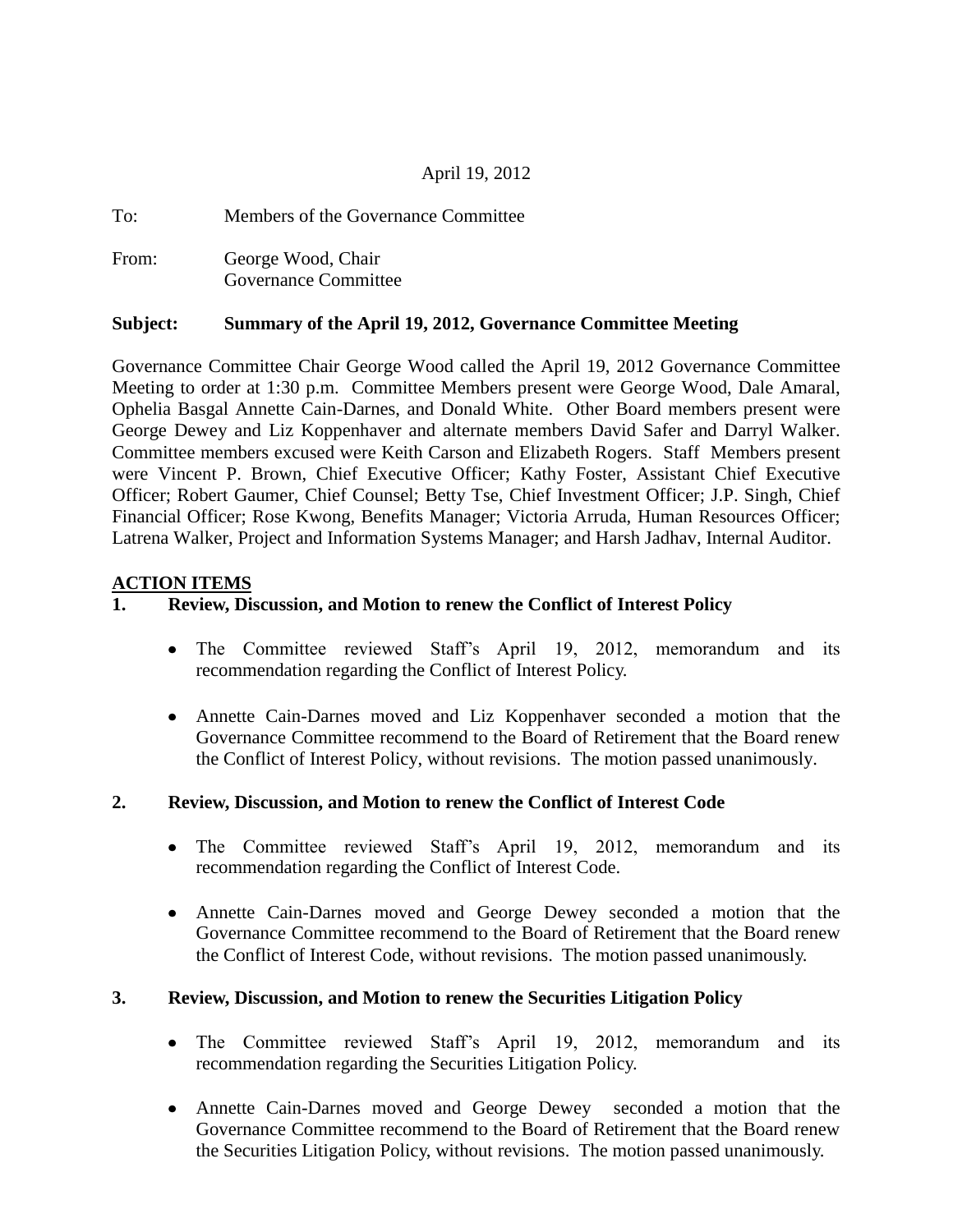## April 19, 2012

| To:   | Members of the Governance Committee               |
|-------|---------------------------------------------------|
| From: | George Wood, Chair<br><b>Governance Committee</b> |

## **Subject: Summary of the April 19, 2012, Governance Committee Meeting**

Governance Committee Chair George Wood called the April 19, 2012 Governance Committee Meeting to order at 1:30 p.m. Committee Members present were George Wood, Dale Amaral, Ophelia Basgal Annette Cain-Darnes, and Donald White. Other Board members present were George Dewey and Liz Koppenhaver and alternate members David Safer and Darryl Walker. Committee members excused were Keith Carson and Elizabeth Rogers. Staff Members present were Vincent P. Brown, Chief Executive Officer; Kathy Foster, Assistant Chief Executive Officer; Robert Gaumer, Chief Counsel; Betty Tse, Chief Investment Officer; J.P. Singh, Chief Financial Officer; Rose Kwong, Benefits Manager; Victoria Arruda, Human Resources Officer; Latrena Walker, Project and Information Systems Manager; and Harsh Jadhav, Internal Auditor.

#### **ACTION ITEMS**

## **1. Review, Discussion, and Motion to renew the Conflict of Interest Policy**

- The Committee reviewed Staff's April 19, 2012, memorandum and its recommendation regarding the Conflict of Interest Policy.
- Annette Cain-Darnes moved and Liz Koppenhaver seconded a motion that the Governance Committee recommend to the Board of Retirement that the Board renew the Conflict of Interest Policy, without revisions. The motion passed unanimously.

## **2. Review, Discussion, and Motion to renew the Conflict of Interest Code**

- The Committee reviewed Staff's April 19, 2012, memorandum and its recommendation regarding the Conflict of Interest Code.
- Annette Cain-Darnes moved and George Dewey seconded a motion that the Governance Committee recommend to the Board of Retirement that the Board renew the Conflict of Interest Code, without revisions. The motion passed unanimously.

## **3. Review, Discussion, and Motion to renew the Securities Litigation Policy**

- The Committee reviewed Staff's April 19, 2012, memorandum and its recommendation regarding the Securities Litigation Policy.
- Annette Cain-Darnes moved and George Dewey seconded a motion that the Governance Committee recommend to the Board of Retirement that the Board renew the Securities Litigation Policy, without revisions. The motion passed unanimously.